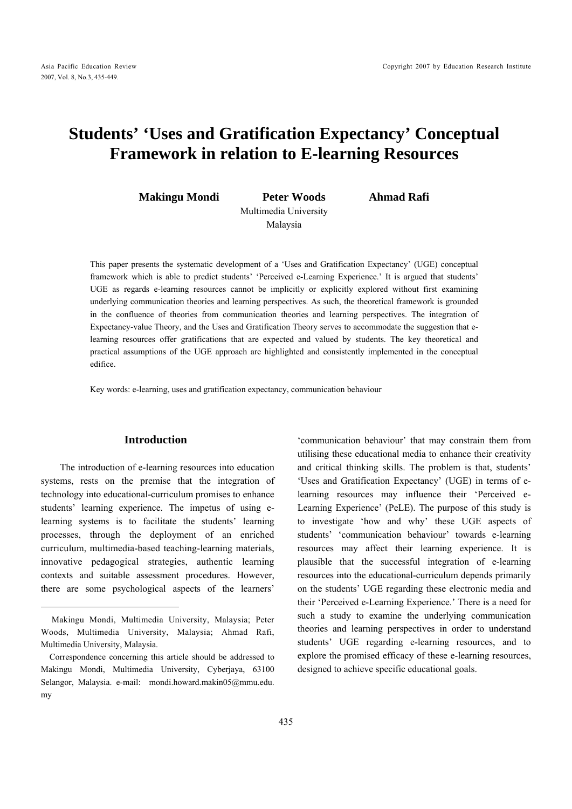# **Students' 'Uses and Gratification Expectancy' Conceptual Framework in relation to E-learning Resources**

**Makingu Mondi Peter Woods Ahmad Rafi**  Multimedia University Malaysia

This paper presents the systematic development of a 'Uses and Gratification Expectancy' (UGE) conceptual framework which is able to predict students' 'Perceived e-Learning Experience.' It is argued that students' UGE as regards e-learning resources cannot be implicitly or explicitly explored without first examining underlying communication theories and learning perspectives. As such, the theoretical framework is grounded in the confluence of theories from communication theories and learning perspectives. The integration of Expectancy-value Theory, and the Uses and Gratification Theory serves to accommodate the suggestion that elearning resources offer gratifications that are expected and valued by students. The key theoretical and practical assumptions of the UGE approach are highlighted and consistently implemented in the conceptual edifice.

Key words: e-learning, uses and gratification expectancy, communication behaviour

## **Introduction**

The introduction of e-learning resources into education systems, rests on the premise that the integration of technology into educational-curriculum promises to enhance students' learning experience. The impetus of using elearning systems is to facilitate the students' learning processes, through the deployment of an enriched curriculum, multimedia-based teaching-learning materials, innovative pedagogical strategies, authentic learning contexts and suitable assessment procedures. However, there are some psychological aspects of the learners'

 $\overline{a}$ 

'communication behaviour' that may constrain them from utilising these educational media to enhance their creativity and critical thinking skills. The problem is that, students' 'Uses and Gratification Expectancy' (UGE) in terms of elearning resources may influence their 'Perceived e-Learning Experience' (PeLE). The purpose of this study is to investigate 'how and why' these UGE aspects of students' 'communication behaviour' towards e-learning resources may affect their learning experience. It is plausible that the successful integration of e-learning resources into the educational-curriculum depends primarily on the students' UGE regarding these electronic media and their 'Perceived e-Learning Experience.' There is a need for such a study to examine the underlying communication theories and learning perspectives in order to understand students' UGE regarding e-learning resources, and to explore the promised efficacy of these e-learning resources, designed to achieve specific educational goals.

Makingu Mondi, Multimedia University, Malaysia; Peter Woods, Multimedia University, Malaysia; Ahmad Rafi, Multimedia University, Malaysia.

Correspondence concerning this article should be addressed to Makingu Mondi, Multimedia University, Cyberjaya, 63100 Selangor, Malaysia. e-mail: mondi.howard.makin05@mmu.edu. my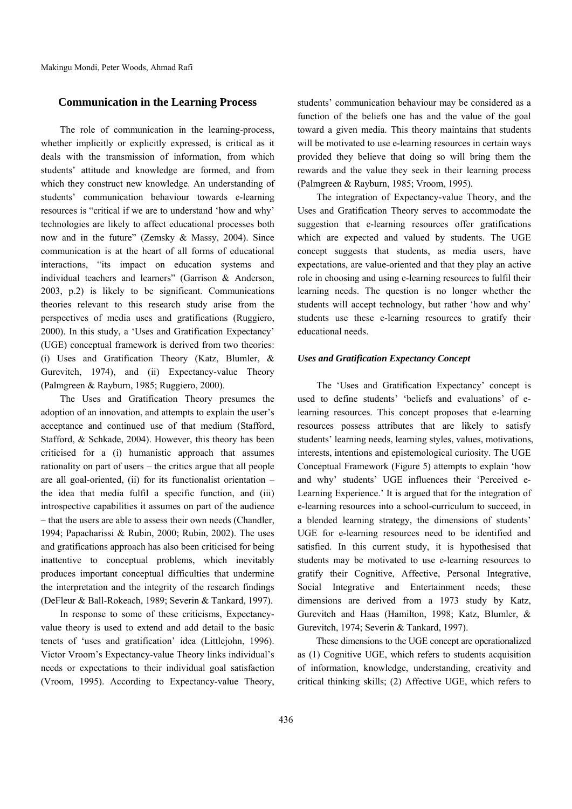## **Communication in the Learning Process**

The role of communication in the learning-process, whether implicitly or explicitly expressed, is critical as it deals with the transmission of information, from which students' attitude and knowledge are formed, and from which they construct new knowledge. An understanding of students' communication behaviour towards e-learning resources is "critical if we are to understand 'how and why' technologies are likely to affect educational processes both now and in the future" (Zemsky & Massy, 2004). Since communication is at the heart of all forms of educational interactions, "its impact on education systems and individual teachers and learners" (Garrison & Anderson, 2003, p.2) is likely to be significant. Communications theories relevant to this research study arise from the perspectives of media uses and gratifications (Ruggiero, 2000). In this study, a 'Uses and Gratification Expectancy' (UGE) conceptual framework is derived from two theories: (i) Uses and Gratification Theory (Katz, Blumler, & Gurevitch, 1974), and (ii) Expectancy-value Theory (Palmgreen & Rayburn, 1985; Ruggiero, 2000).

The Uses and Gratification Theory presumes the adoption of an innovation, and attempts to explain the user's acceptance and continued use of that medium (Stafford, Stafford, & Schkade, 2004). However, this theory has been criticised for a (i) humanistic approach that assumes rationality on part of users – the critics argue that all people are all goal-oriented, (ii) for its functionalist orientation – the idea that media fulfil a specific function, and (iii) introspective capabilities it assumes on part of the audience – that the users are able to assess their own needs (Chandler, 1994; Papacharissi & Rubin, 2000; Rubin, 2002). The uses and gratifications approach has also been criticised for being inattentive to conceptual problems, which inevitably produces important conceptual difficulties that undermine the interpretation and the integrity of the research findings (DeFleur & Ball-Rokeach, 1989; Severin & Tankard, 1997).

In response to some of these criticisms, Expectancyvalue theory is used to extend and add detail to the basic tenets of 'uses and gratification' idea (Littlejohn, 1996). Victor Vroom's Expectancy-value Theory links individual's needs or expectations to their individual goal satisfaction (Vroom, 1995). According to Expectancy-value Theory, students' communication behaviour may be considered as a function of the beliefs one has and the value of the goal toward a given media. This theory maintains that students will be motivated to use e-learning resources in certain ways provided they believe that doing so will bring them the rewards and the value they seek in their learning process (Palmgreen & Rayburn, 1985; Vroom, 1995).

The integration of Expectancy-value Theory, and the Uses and Gratification Theory serves to accommodate the suggestion that e-learning resources offer gratifications which are expected and valued by students. The UGE concept suggests that students, as media users, have expectations, are value-oriented and that they play an active role in choosing and using e-learning resources to fulfil their learning needs. The question is no longer whether the students will accept technology, but rather 'how and why' students use these e-learning resources to gratify their educational needs.

#### *Uses and Gratification Expectancy Concept*

The 'Uses and Gratification Expectancy' concept is used to define students' 'beliefs and evaluations' of elearning resources. This concept proposes that e-learning resources possess attributes that are likely to satisfy students' learning needs, learning styles, values, motivations, interests, intentions and epistemological curiosity. The UGE Conceptual Framework (Figure 5) attempts to explain 'how and why' students' UGE influences their 'Perceived e-Learning Experience.' It is argued that for the integration of e-learning resources into a school-curriculum to succeed, in a blended learning strategy, the dimensions of students' UGE for e-learning resources need to be identified and satisfied. In this current study, it is hypothesised that students may be motivated to use e-learning resources to gratify their Cognitive, Affective, Personal Integrative, Social Integrative and Entertainment needs; these dimensions are derived from a 1973 study by Katz, Gurevitch and Haas (Hamilton, 1998; Katz, Blumler, & Gurevitch, 1974; Severin & Tankard, 1997).

These dimensions to the UGE concept are operationalized as (1) Cognitive UGE, which refers to students acquisition of information, knowledge, understanding, creativity and critical thinking skills; (2) Affective UGE, which refers to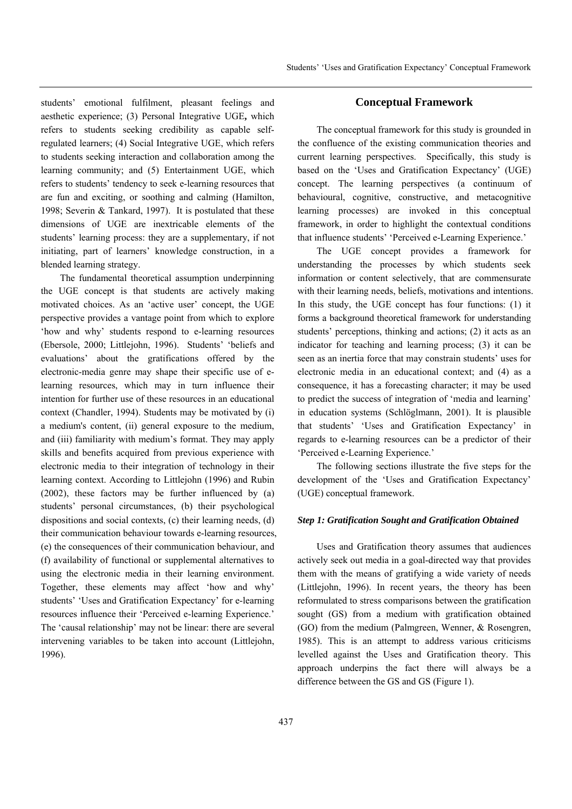students' emotional fulfilment, pleasant feelings and aesthetic experience; (3) Personal Integrative UGE**,** which refers to students seeking credibility as capable selfregulated learners; (4) Social Integrative UGE, which refers to students seeking interaction and collaboration among the learning community; and (5) Entertainment UGE, which refers to students' tendency to seek e-learning resources that are fun and exciting, or soothing and calming (Hamilton, 1998; Severin & Tankard, 1997). It is postulated that these dimensions of UGE are inextricable elements of the students' learning process: they are a supplementary, if not initiating, part of learners' knowledge construction, in a blended learning strategy.

The fundamental theoretical assumption underpinning the UGE concept is that students are actively making motivated choices. As an 'active user' concept, the UGE perspective provides a vantage point from which to explore 'how and why' students respond to e-learning resources (Ebersole, 2000; Littlejohn, 1996). Students' 'beliefs and evaluations' about the gratifications offered by the electronic-media genre may shape their specific use of elearning resources, which may in turn influence their intention for further use of these resources in an educational context (Chandler, 1994). Students may be motivated by (i) a medium's content, (ii) general exposure to the medium, and (iii) familiarity with medium's format. They may apply skills and benefits acquired from previous experience with electronic media to their integration of technology in their learning context. According to Littlejohn (1996) and Rubin (2002), these factors may be further influenced by (a) students' personal circumstances, (b) their psychological dispositions and social contexts, (c) their learning needs, (d) their communication behaviour towards e-learning resources, (e) the consequences of their communication behaviour, and (f) availability of functional or supplemental alternatives to using the electronic media in their learning environment. Together, these elements may affect 'how and why' students' 'Uses and Gratification Expectancy' for e-learning resources influence their 'Perceived e-learning Experience.' The 'causal relationship' may not be linear: there are several intervening variables to be taken into account (Littlejohn, 1996).

## **Conceptual Framework**

The conceptual framework for this study is grounded in the confluence of the existing communication theories and current learning perspectives. Specifically, this study is based on the 'Uses and Gratification Expectancy' (UGE) concept. The learning perspectives (a continuum of behavioural, cognitive, constructive, and metacognitive learning processes) are invoked in this conceptual framework, in order to highlight the contextual conditions that influence students' 'Perceived e-Learning Experience.'

The UGE concept provides a framework for understanding the processes by which students seek information or content selectively, that are commensurate with their learning needs, beliefs, motivations and intentions. In this study, the UGE concept has four functions: (1) it forms a background theoretical framework for understanding students' perceptions, thinking and actions; (2) it acts as an indicator for teaching and learning process; (3) it can be seen as an inertia force that may constrain students' uses for electronic media in an educational context; and (4) as a consequence, it has a forecasting character; it may be used to predict the success of integration of 'media and learning' in education systems (Schlöglmann, 2001). It is plausible that students' 'Uses and Gratification Expectancy' in regards to e-learning resources can be a predictor of their 'Perceived e-Learning Experience.'

The following sections illustrate the five steps for the development of the 'Uses and Gratification Expectancy' (UGE) conceptual framework.

#### *Step 1: Gratification Sought and Gratification Obtained*

Uses and Gratification theory assumes that audiences actively seek out media in a goal-directed way that provides them with the means of gratifying a wide variety of needs (Littlejohn, 1996). In recent years, the theory has been reformulated to stress comparisons between the gratification sought (GS) from a medium with gratification obtained (GO) from the medium (Palmgreen, Wenner, & Rosengren, 1985). This is an attempt to address various criticisms levelled against the Uses and Gratification theory. This approach underpins the fact there will always be a difference between the GS and GS (Figure 1).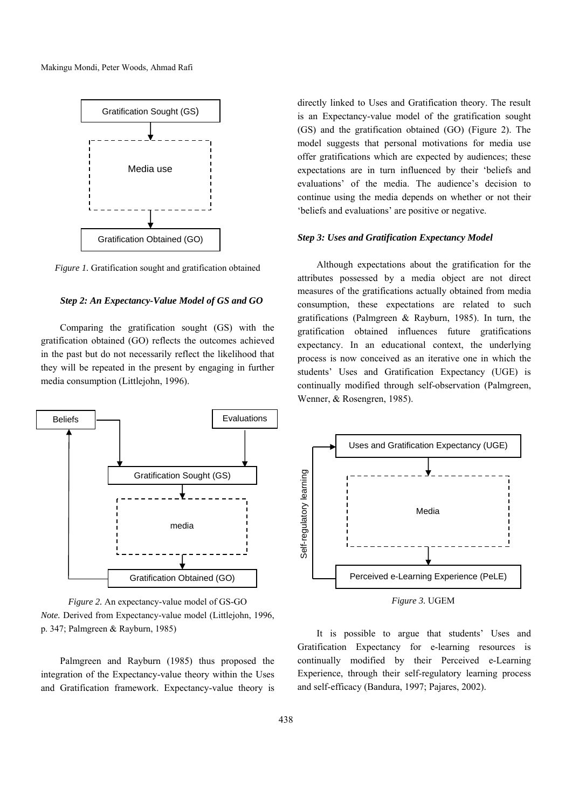

*Figure 1.* Gratification sought and gratification obtained

#### *Step 2: An Expectancy-Value Model of GS and GO*

Comparing the gratification sought (GS) with the gratification obtained (GO) reflects the outcomes achieved in the past but do not necessarily reflect the likelihood that they will be repeated in the present by engaging in further media consumption (Littlejohn, 1996).



*Figure 2.* An expectancy-value model of GS-GO *Note.* Derived from Expectancy-value model (Littlejohn, 1996, p. 347; Palmgreen & Rayburn, 1985)

Palmgreen and Rayburn (1985) thus proposed the integration of the Expectancy-value theory within the Uses and Gratification framework. Expectancy-value theory is directly linked to Uses and Gratification theory. The result is an Expectancy-value model of the gratification sought (GS) and the gratification obtained (GO) (Figure 2). The model suggests that personal motivations for media use offer gratifications which are expected by audiences; these expectations are in turn influenced by their 'beliefs and evaluations' of the media. The audience's decision to continue using the media depends on whether or not their 'beliefs and evaluations' are positive or negative.

## *Step 3: Uses and Gratification Expectancy Model*

Although expectations about the gratification for the attributes possessed by a media object are not direct measures of the gratifications actually obtained from media consumption, these expectations are related to such gratifications (Palmgreen & Rayburn, 1985). In turn, the gratification obtained influences future gratifications expectancy. In an educational context, the underlying process is now conceived as an iterative one in which the students' Uses and Gratification Expectancy (UGE) is continually modified through self-observation (Palmgreen, Wenner, & Rosengren, 1985).



*Figure 3.* UGEM

It is possible to argue that students' Uses and Gratification Expectancy for e-learning resources is continually modified by their Perceived e-Learning Experience, through their self-regulatory learning process and self-efficacy (Bandura, 1997; Pajares, 2002).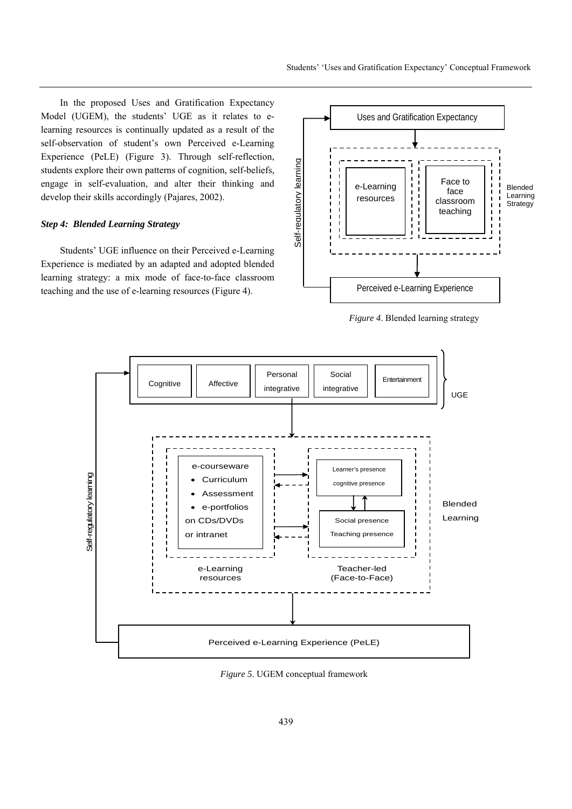In the proposed Uses and Gratification Expectancy Model (UGEM), the students' UGE as it relates to elearning resources is continually updated as a result of the self-observation of student's own Perceived e-Learning Experience (PeLE) (Figure 3). Through self-reflection, students explore their own patterns of cognition, self-beliefs, engage in self-evaluation, and alter their thinking and develop their skills accordingly (Pajares, 2002).

## *Step 4: Blended Learning Strategy*

Students' UGE influence on their Perceived e-Learning Experience is mediated by an adapted and adopted blended learning strategy: a mix mode of face-to-face classroom teaching and the use of e-learning resources (Figure 4).



*Figure 4*. Blended learning strategy



*Figure 5*. UGEM conceptual framework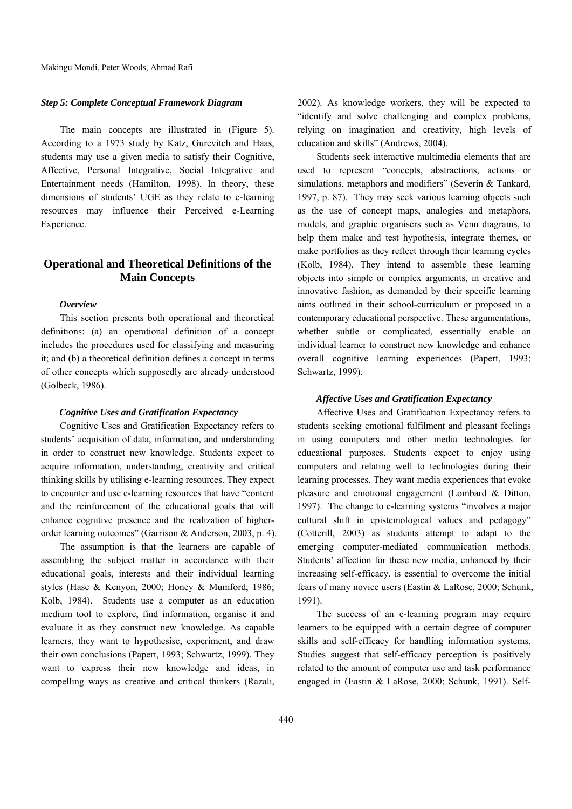## *Step 5: Complete Conceptual Framework Diagram*

The main concepts are illustrated in (Figure 5). According to a 1973 study by Katz, Gurevitch and Haas, students may use a given media to satisfy their Cognitive, Affective, Personal Integrative, Social Integrative and Entertainment needs (Hamilton, 1998). In theory, these dimensions of students' UGE as they relate to e-learning resources may influence their Perceived e-Learning Experience.

# **Operational and Theoretical Definitions of the Main Concepts**

## *Overview*

This section presents both operational and theoretical definitions: (a) an operational definition of a concept includes the procedures used for classifying and measuring it; and (b) a theoretical definition defines a concept in terms of other concepts which supposedly are already understood (Golbeck, 1986).

#### *Cognitive Uses and Gratification Expectancy*

Cognitive Uses and Gratification Expectancy refers to students' acquisition of data, information, and understanding in order to construct new knowledge. Students expect to acquire information, understanding, creativity and critical thinking skills by utilising e-learning resources. They expect to encounter and use e-learning resources that have "content and the reinforcement of the educational goals that will enhance cognitive presence and the realization of higherorder learning outcomes" (Garrison & Anderson, 2003, p. 4).

The assumption is that the learners are capable of assembling the subject matter in accordance with their educational goals, interests and their individual learning styles (Hase & Kenyon, 2000; Honey & Mumford, 1986; Kolb, 1984). Students use a computer as an education medium tool to explore, find information, organise it and evaluate it as they construct new knowledge. As capable learners, they want to hypothesise, experiment, and draw their own conclusions (Papert, 1993; Schwartz, 1999). They want to express their new knowledge and ideas, in compelling ways as creative and critical thinkers (Razali,

2002). As knowledge workers, they will be expected to "identify and solve challenging and complex problems, relying on imagination and creativity, high levels of education and skills" (Andrews, 2004).

Students seek interactive multimedia elements that are used to represent "concepts, abstractions, actions or simulations, metaphors and modifiers" (Severin & Tankard, 1997, p. 87). They may seek various learning objects such as the use of concept maps, analogies and metaphors, models, and graphic organisers such as Venn diagrams, to help them make and test hypothesis, integrate themes, or make portfolios as they reflect through their learning cycles (Kolb, 1984). They intend to assemble these learning objects into simple or complex arguments, in creative and innovative fashion, as demanded by their specific learning aims outlined in their school-curriculum or proposed in a contemporary educational perspective. These argumentations, whether subtle or complicated, essentially enable an individual learner to construct new knowledge and enhance overall cognitive learning experiences (Papert, 1993; Schwartz, 1999).

#### *Affective Uses and Gratification Expectancy*

Affective Uses and Gratification Expectancy refers to students seeking emotional fulfilment and pleasant feelings in using computers and other media technologies for educational purposes. Students expect to enjoy using computers and relating well to technologies during their learning processes. They want media experiences that evoke pleasure and emotional engagement (Lombard & Ditton, 1997). The change to e-learning systems "involves a major cultural shift in epistemological values and pedagogy" (Cotterill, 2003) as students attempt to adapt to the emerging computer-mediated communication methods. Students' affection for these new media, enhanced by their increasing self-efficacy, is essential to overcome the initial fears of many novice users (Eastin & LaRose, 2000; Schunk, 1991).

The success of an e-learning program may require learners to be equipped with a certain degree of computer skills and self-efficacy for handling information systems. Studies suggest that self-efficacy perception is positively related to the amount of computer use and task performance engaged in (Eastin & LaRose, 2000; Schunk, 1991). Self-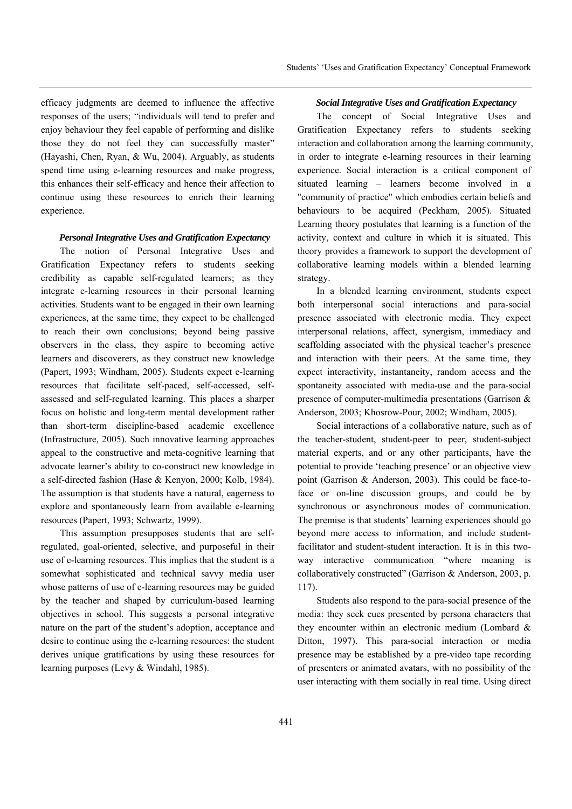efficacy judgments are deemed to influence the affective responses of the users; "individuals will tend to prefer and enjoy behaviour they feel capable of performing and dislike those they do not feel they can successfully master" (Hayashi, Chen, Ryan, & Wu, 2004). Arguably, as students spend time using e-learning resources and make progress, this enhances their self-efficacy and hence their affection to continue using these resources to enrich their learning experience.

## *Personal Integrative Uses and Gratification Expectancy*

The notion of Personal Integrative Uses and Gratification Expectancy refers to students seeking credibility as capable self-regulated learners; as they integrate e-learning resources in their personal learning activities. Students want to be engaged in their own learning experiences, at the same time, they expect to be challenged to reach their own conclusions; beyond being passive observers in the class, they aspire to becoming active learners and discoverers, as they construct new knowledge (Papert, 1993; Windham, 2005). Students expect e-learning resources that facilitate self-paced, self-accessed, selfassessed and self-regulated learning. This places a sharper focus on holistic and long-term mental development rather than short-term discipline-based academic excellence (Infrastructure, 2005). Such innovative learning approaches appeal to the constructive and meta-cognitive learning that advocate learner's ability to co-construct new knowledge in a self-directed fashion (Hase & Kenyon, 2000; Kolb, 1984). The assumption is that students have a natural, eagerness to explore and spontaneously learn from available e-learning resources (Papert, 1993; Schwartz, 1999).

This assumption presupposes students that are selfregulated, goal-oriented, selective, and purposeful in their use of e-learning resources. This implies that the student is a somewhat sophisticated and technical savvy media user whose patterns of use of e-learning resources may be guided by the teacher and shaped by curriculum-based learning objectives in school. This suggests a personal integrative nature on the part of the student's adoption, acceptance and desire to continue using the e-learning resources: the student derives unique gratifications by using these resources for learning purposes (Levy & Windahl, 1985).

#### *Social Integrative Uses and Gratification Expectancy*

The concept of Social Integrative Uses and Gratification Expectancy refers to students seeking interaction and collaboration among the learning community, in order to integrate e-learning resources in their learning experience. Social interaction is a critical component of situated learning – learners become involved in a "community of practice" which embodies certain beliefs and behaviours to be acquired (Peckham, 2005). Situated Learning theory postulates that learning is a function of the activity, context and culture in which it is situated. This theory provides a framework to support the development of collaborative learning models within a blended learning strategy.

In a blended learning environment, students expect both interpersonal social interactions and para-social presence associated with electronic media. They expect interpersonal relations, affect, synergism, immediacy and scaffolding associated with the physical teacher's presence and interaction with their peers. At the same time, they expect interactivity, instantaneity, random access and the spontaneity associated with media-use and the para-social presence of computer-multimedia presentations (Garrison & Anderson, 2003; Khosrow-Pour, 2002; Windham, 2005).

Social interactions of a collaborative nature, such as of the teacher-student, student-peer to peer, student-subject material experts, and or any other participants, have the potential to provide 'teaching presence' or an objective view point (Garrison & Anderson, 2003). This could be face-toface or on-line discussion groups, and could be by synchronous or asynchronous modes of communication. The premise is that students' learning experiences should go beyond mere access to information, and include studentfacilitator and student-student interaction. It is in this twoway interactive communication "where meaning is collaboratively constructed" (Garrison & Anderson, 2003, p. 117).

Students also respond to the para-social presence of the media: they seek cues presented by persona characters that they encounter within an electronic medium (Lombard & Ditton, 1997). This para-social interaction or media presence may be established by a pre-video tape recording of presenters or animated avatars, with no possibility of the user interacting with them socially in real time. Using direct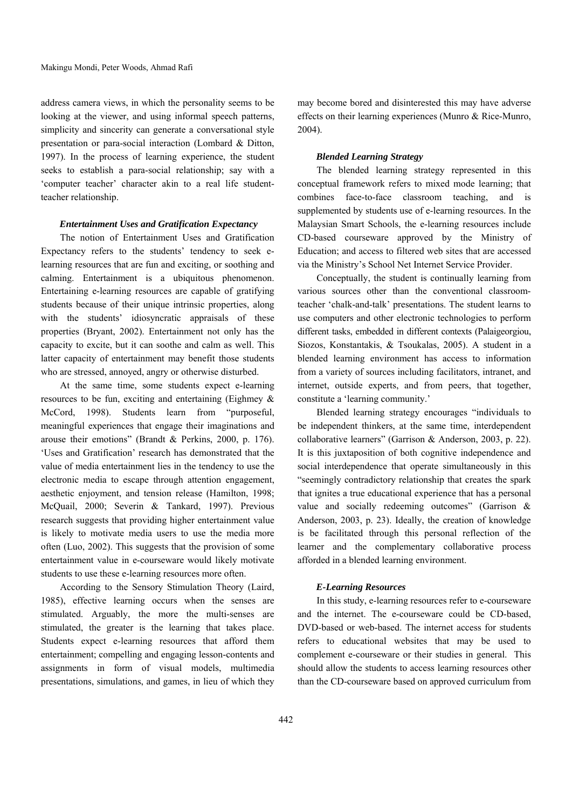address camera views, in which the personality seems to be looking at the viewer, and using informal speech patterns, simplicity and sincerity can generate a conversational style presentation or para-social interaction (Lombard & Ditton, 1997). In the process of learning experience, the student seeks to establish a para-social relationship; say with a 'computer teacher' character akin to a real life studentteacher relationship.

## *Entertainment Uses and Gratification Expectancy*

The notion of Entertainment Uses and Gratification Expectancy refers to the students' tendency to seek elearning resources that are fun and exciting, or soothing and calming. Entertainment is a ubiquitous phenomenon. Entertaining e-learning resources are capable of gratifying students because of their unique intrinsic properties, along with the students' idiosyncratic appraisals of these properties (Bryant, 2002). Entertainment not only has the capacity to excite, but it can soothe and calm as well. This latter capacity of entertainment may benefit those students who are stressed, annoyed, angry or otherwise disturbed.

At the same time, some students expect e-learning resources to be fun, exciting and entertaining (Eighmey & McCord, 1998). Students learn from "purposeful, meaningful experiences that engage their imaginations and arouse their emotions" (Brandt & Perkins, 2000, p. 176). 'Uses and Gratification' research has demonstrated that the value of media entertainment lies in the tendency to use the electronic media to escape through attention engagement, aesthetic enjoyment, and tension release (Hamilton, 1998; McQuail, 2000; Severin & Tankard, 1997). Previous research suggests that providing higher entertainment value is likely to motivate media users to use the media more often (Luo, 2002). This suggests that the provision of some entertainment value in e-courseware would likely motivate students to use these e-learning resources more often.

According to the Sensory Stimulation Theory (Laird, 1985), effective learning occurs when the senses are stimulated. Arguably, the more the multi-senses are stimulated, the greater is the learning that takes place. Students expect e-learning resources that afford them entertainment; compelling and engaging lesson-contents and assignments in form of visual models, multimedia presentations, simulations, and games, in lieu of which they may become bored and disinterested this may have adverse effects on their learning experiences (Munro & Rice-Munro, 2004).

## *Blended Learning Strategy*

The blended learning strategy represented in this conceptual framework refers to mixed mode learning; that combines face-to-face classroom teaching, and is supplemented by students use of e-learning resources. In the Malaysian Smart Schools, the e-learning resources include CD-based courseware approved by the Ministry of Education; and access to filtered web sites that are accessed via the Ministry's School Net Internet Service Provider.

Conceptually, the student is continually learning from various sources other than the conventional classroomteacher 'chalk-and-talk' presentations. The student learns to use computers and other electronic technologies to perform different tasks, embedded in different contexts (Palaigeorgiou, Siozos, Konstantakis, & Tsoukalas, 2005). A student in a blended learning environment has access to information from a variety of sources including facilitators, intranet, and internet, outside experts, and from peers, that together, constitute a 'learning community.'

Blended learning strategy encourages "individuals to be independent thinkers, at the same time, interdependent collaborative learners" (Garrison & Anderson, 2003, p. 22). It is this juxtaposition of both cognitive independence and social interdependence that operate simultaneously in this "seemingly contradictory relationship that creates the spark that ignites a true educational experience that has a personal value and socially redeeming outcomes" (Garrison & Anderson, 2003, p. 23). Ideally, the creation of knowledge is be facilitated through this personal reflection of the learner and the complementary collaborative process afforded in a blended learning environment.

## *E-Learning Resources*

In this study, e-learning resources refer to e-courseware and the internet. The e-courseware could be CD-based, DVD-based or web-based. The internet access for students refers to educational websites that may be used to complement e-courseware or their studies in general. This should allow the students to access learning resources other than the CD-courseware based on approved curriculum from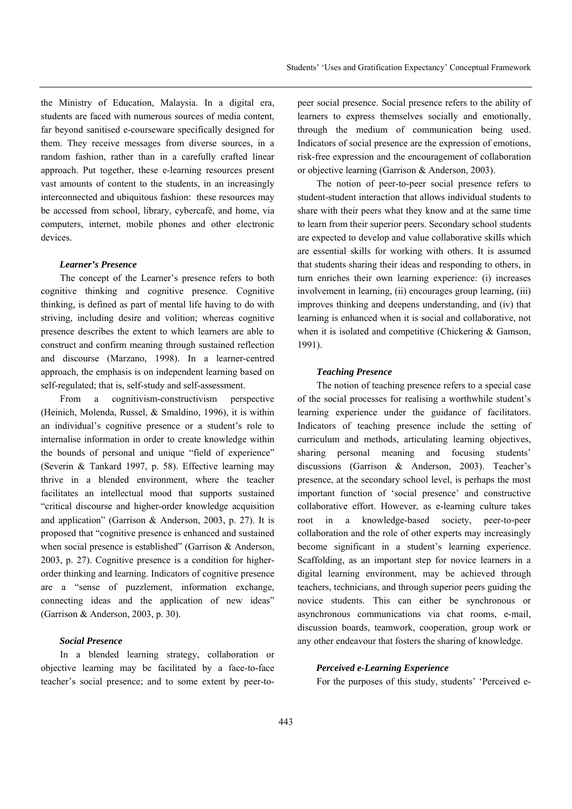the Ministry of Education, Malaysia. In a digital era, students are faced with numerous sources of media content, far beyond sanitised e-courseware specifically designed for them. They receive messages from diverse sources, in a random fashion, rather than in a carefully crafted linear approach. Put together, these e-learning resources present vast amounts of content to the students, in an increasingly interconnected and ubiquitous fashion: these resources may be accessed from school, library, cybercafé, and home, via computers, internet, mobile phones and other electronic devices.

#### *Learner's Presence*

The concept of the Learner's presence refers to both cognitive thinking and cognitive presence. Cognitive thinking, is defined as part of mental life having to do with striving, including desire and volition; whereas cognitive presence describes the extent to which learners are able to construct and confirm meaning through sustained reflection and discourse (Marzano, 1998). In a learner-centred approach, the emphasis is on independent learning based on self-regulated; that is, self-study and self-assessment.

From a cognitivism-constructivism perspective (Heinich, Molenda, Russel, & Smaldino, 1996), it is within an individual's cognitive presence or a student's role to internalise information in order to create knowledge within the bounds of personal and unique "field of experience" (Severin & Tankard 1997, p. 58). Effective learning may thrive in a blended environment, where the teacher facilitates an intellectual mood that supports sustained "critical discourse and higher-order knowledge acquisition and application" (Garrison & Anderson, 2003, p. 27). It is proposed that "cognitive presence is enhanced and sustained when social presence is established" (Garrison & Anderson, 2003, p. 27). Cognitive presence is a condition for higherorder thinking and learning. Indicators of cognitive presence are a "sense of puzzlement, information exchange, connecting ideas and the application of new ideas" (Garrison & Anderson, 2003, p. 30).

## *Social Presence*

In a blended learning strategy, collaboration or objective learning may be facilitated by a face-to-face teacher's social presence; and to some extent by peer-topeer social presence. Social presence refers to the ability of learners to express themselves socially and emotionally, through the medium of communication being used. Indicators of social presence are the expression of emotions, risk-free expression and the encouragement of collaboration or objective learning (Garrison & Anderson, 2003).

The notion of peer-to-peer social presence refers to student-student interaction that allows individual students to share with their peers what they know and at the same time to learn from their superior peers. Secondary school students are expected to develop and value collaborative skills which are essential skills for working with others. It is assumed that students sharing their ideas and responding to others, in turn enriches their own learning experience: (i) increases involvement in learning, (ii) encourages group learning, (iii) improves thinking and deepens understanding, and (iv) that learning is enhanced when it is social and collaborative, not when it is isolated and competitive (Chickering & Gamson, 1991).

## *Teaching Presence*

The notion of teaching presence refers to a special case of the social processes for realising a worthwhile student's learning experience under the guidance of facilitators. Indicators of teaching presence include the setting of curriculum and methods, articulating learning objectives, sharing personal meaning and focusing students' discussions (Garrison & Anderson, 2003). Teacher's presence, at the secondary school level, is perhaps the most important function of 'social presence' and constructive collaborative effort. However, as e-learning culture takes root in a knowledge-based society, peer-to-peer collaboration and the role of other experts may increasingly become significant in a student's learning experience. Scaffolding, as an important step for novice learners in a digital learning environment, may be achieved through teachers, technicians, and through superior peers guiding the novice students. This can either be synchronous or asynchronous communications via chat rooms, e-mail, discussion boards, teamwork, cooperation, group work or any other endeavour that fosters the sharing of knowledge.

#### *Perceived e-Learning Experience*

For the purposes of this study, students' 'Perceived e-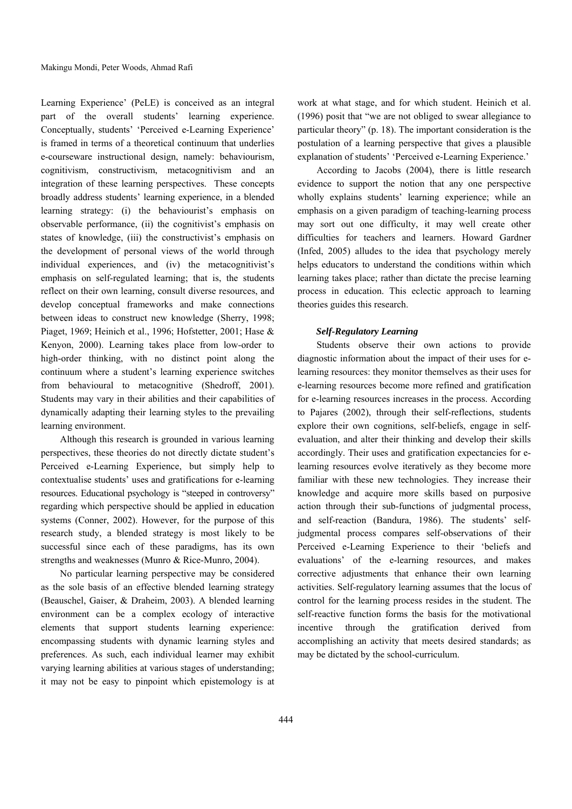Learning Experience' (PeLE) is conceived as an integral part of the overall students' learning experience. Conceptually, students' 'Perceived e-Learning Experience' is framed in terms of a theoretical continuum that underlies e-courseware instructional design, namely: behaviourism, cognitivism, constructivism, metacognitivism and an integration of these learning perspectives. These concepts broadly address students' learning experience, in a blended learning strategy: (i) the behaviourist's emphasis on observable performance, (ii) the cognitivist's emphasis on states of knowledge, (iii) the constructivist's emphasis on the development of personal views of the world through individual experiences, and (iv) the metacognitivist's emphasis on self-regulated learning; that is, the students reflect on their own learning, consult diverse resources, and develop conceptual frameworks and make connections between ideas to construct new knowledge (Sherry, 1998; Piaget, 1969; Heinich et al., 1996; Hofstetter, 2001; Hase & Kenyon, 2000). Learning takes place from low-order to high-order thinking, with no distinct point along the continuum where a student's learning experience switches from behavioural to metacognitive (Shedroff, 2001). Students may vary in their abilities and their capabilities of dynamically adapting their learning styles to the prevailing learning environment.

Although this research is grounded in various learning perspectives, these theories do not directly dictate student's Perceived e-Learning Experience, but simply help to contextualise students' uses and gratifications for e-learning resources. Educational psychology is "steeped in controversy" regarding which perspective should be applied in education systems (Conner, 2002). However, for the purpose of this research study, a blended strategy is most likely to be successful since each of these paradigms, has its own strengths and weaknesses (Munro & Rice-Munro, 2004).

No particular learning perspective may be considered as the sole basis of an effective blended learning strategy (Beauschel, Gaiser, & Draheim, 2003). A blended learning environment can be a complex ecology of interactive elements that support students learning experience: encompassing students with dynamic learning styles and preferences. As such, each individual learner may exhibit varying learning abilities at various stages of understanding; it may not be easy to pinpoint which epistemology is at

work at what stage, and for which student. Heinich et al. (1996) posit that "we are not obliged to swear allegiance to particular theory" (p. 18). The important consideration is the postulation of a learning perspective that gives a plausible explanation of students' 'Perceived e-Learning Experience.'

According to Jacobs (2004), there is little research evidence to support the notion that any one perspective wholly explains students' learning experience; while an emphasis on a given paradigm of teaching-learning process may sort out one difficulty, it may well create other difficulties for teachers and learners. Howard Gardner (Infed, 2005) alludes to the idea that psychology merely helps educators to understand the conditions within which learning takes place; rather than dictate the precise learning process in education. This eclectic approach to learning theories guides this research.

## *Self-Regulatory Learning*

Students observe their own actions to provide diagnostic information about the impact of their uses for elearning resources: they monitor themselves as their uses for e-learning resources become more refined and gratification for e-learning resources increases in the process. According to Pajares (2002), through their self-reflections, students explore their own cognitions, self-beliefs, engage in selfevaluation, and alter their thinking and develop their skills accordingly. Their uses and gratification expectancies for elearning resources evolve iteratively as they become more familiar with these new technologies. They increase their knowledge and acquire more skills based on purposive action through their sub-functions of judgmental process, and self-reaction (Bandura, 1986). The students' selfjudgmental process compares self-observations of their Perceived e-Learning Experience to their 'beliefs and evaluations' of the e-learning resources, and makes corrective adjustments that enhance their own learning activities. Self-regulatory learning assumes that the locus of control for the learning process resides in the student. The self-reactive function forms the basis for the motivational incentive through the gratification derived from accomplishing an activity that meets desired standards; as may be dictated by the school-curriculum.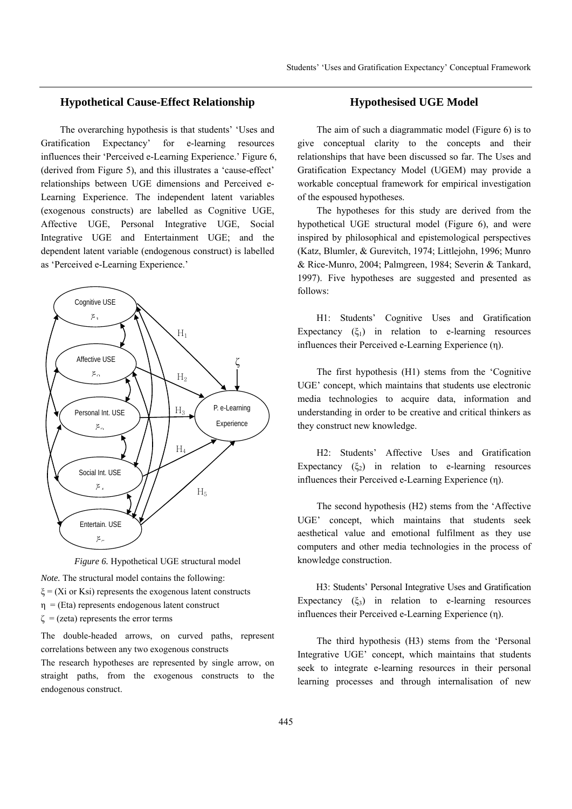# **Hypothetical Cause-Effect Relationship**

The overarching hypothesis is that students' 'Uses and Gratification Expectancy' for e-learning resources influences their 'Perceived e-Learning Experience.' Figure 6, (derived from Figure 5), and this illustrates a 'cause-effect' relationships between UGE dimensions and Perceived e-Learning Experience. The independent latent variables (exogenous constructs) are labelled as Cognitive UGE, Affective UGE, Personal Integrative UGE, Social Integrative UGE and Entertainment UGE; and the dependent latent variable (endogenous construct) is labelled as 'Perceived e-Learning Experience.'



*Figure 6.* Hypothetical UGE structural model

*Note.* The structural model contains the following:

- $\xi$  = (Xi or Ksi) represents the exogenous latent constructs
- $\eta$  = (Eta) represents endogenous latent construct
- $\zeta$  = (zeta) represents the error terms

The double-headed arrows, on curved paths, represent correlations between any two exogenous constructs

The research hypotheses are represented by single arrow, on straight paths, from the exogenous constructs to the endogenous construct.

## **Hypothesised UGE Model**

The aim of such a diagrammatic model (Figure 6) is to give conceptual clarity to the concepts and their relationships that have been discussed so far. The Uses and Gratification Expectancy Model (UGEM) may provide a workable conceptual framework for empirical investigation of the espoused hypotheses.

The hypotheses for this study are derived from the hypothetical UGE structural model (Figure 6), and were inspired by philosophical and epistemological perspectives (Katz, Blumler, & Gurevitch, 1974; Littlejohn, 1996; Munro & Rice-Munro, 2004; Palmgreen, 1984; Severin & Tankard, 1997). Five hypotheses are suggested and presented as follows:

H1: Students' Cognitive Uses and Gratification Expectancy  $(\xi_1)$  in relation to e-learning resources influences their Perceived e-Learning Experience (η).

The first hypothesis (H1) stems from the 'Cognitive UGE' concept, which maintains that students use electronic media technologies to acquire data, information and understanding in order to be creative and critical thinkers as they construct new knowledge.

H2: Students' Affective Uses and Gratification Expectancy  $(\xi_2)$  in relation to e-learning resources influences their Perceived e-Learning Experience (η).

The second hypothesis (H2) stems from the 'Affective UGE' concept, which maintains that students seek aesthetical value and emotional fulfilment as they use computers and other media technologies in the process of knowledge construction.

H3: Students' Personal Integrative Uses and Gratification Expectancy  $(\xi_3)$  in relation to e-learning resources influences their Perceived e-Learning Experience (η).

The third hypothesis (H3) stems from the 'Personal Integrative UGE' concept, which maintains that students seek to integrate e-learning resources in their personal learning processes and through internalisation of new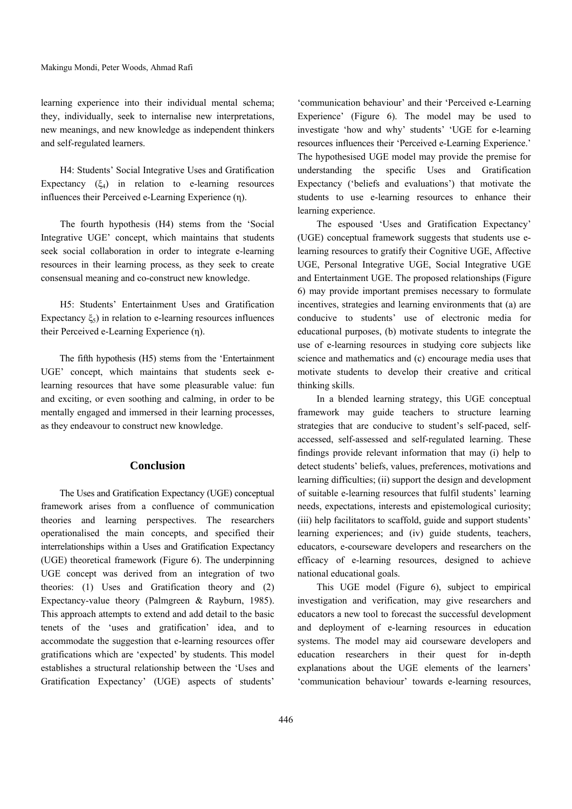learning experience into their individual mental schema; they, individually, seek to internalise new interpretations, new meanings, and new knowledge as independent thinkers and self-regulated learners.

H4: Students' Social Integrative Uses and Gratification Expectancy  $(\xi_4)$  in relation to e-learning resources influences their Perceived e-Learning Experience (η).

The fourth hypothesis (H4) stems from the 'Social Integrative UGE' concept, which maintains that students seek social collaboration in order to integrate e-learning resources in their learning process, as they seek to create consensual meaning and co-construct new knowledge.

H5: Students' Entertainment Uses and Gratification Expectancy  $\xi_5$ ) in relation to e-learning resources influences their Perceived e-Learning Experience (η).

The fifth hypothesis (H5) stems from the 'Entertainment UGE' concept, which maintains that students seek elearning resources that have some pleasurable value: fun and exciting, or even soothing and calming, in order to be mentally engaged and immersed in their learning processes, as they endeavour to construct new knowledge.

## **Conclusion**

The Uses and Gratification Expectancy (UGE) conceptual framework arises from a confluence of communication theories and learning perspectives. The researchers operationalised the main concepts, and specified their interrelationships within a Uses and Gratification Expectancy (UGE) theoretical framework (Figure 6). The underpinning UGE concept was derived from an integration of two theories: (1) Uses and Gratification theory and (2) Expectancy-value theory (Palmgreen & Rayburn, 1985). This approach attempts to extend and add detail to the basic tenets of the 'uses and gratification' idea, and to accommodate the suggestion that e-learning resources offer gratifications which are 'expected' by students. This model establishes a structural relationship between the 'Uses and Gratification Expectancy' (UGE) aspects of students'

'communication behaviour' and their 'Perceived e-Learning Experience' (Figure 6). The model may be used to investigate 'how and why' students' 'UGE for e-learning resources influences their 'Perceived e-Learning Experience.' The hypothesised UGE model may provide the premise for understanding the specific Uses and Gratification Expectancy ('beliefs and evaluations') that motivate the students to use e-learning resources to enhance their learning experience.

The espoused 'Uses and Gratification Expectancy' (UGE) conceptual framework suggests that students use elearning resources to gratify their Cognitive UGE, Affective UGE, Personal Integrative UGE, Social Integrative UGE and Entertainment UGE. The proposed relationships (Figure 6) may provide important premises necessary to formulate incentives, strategies and learning environments that (a) are conducive to students' use of electronic media for educational purposes, (b) motivate students to integrate the use of e-learning resources in studying core subjects like science and mathematics and (c) encourage media uses that motivate students to develop their creative and critical thinking skills.

In a blended learning strategy, this UGE conceptual framework may guide teachers to structure learning strategies that are conducive to student's self-paced, selfaccessed, self-assessed and self-regulated learning. These findings provide relevant information that may (i) help to detect students' beliefs, values, preferences, motivations and learning difficulties; (ii) support the design and development of suitable e-learning resources that fulfil students' learning needs, expectations, interests and epistemological curiosity; (iii) help facilitators to scaffold, guide and support students' learning experiences; and (iv) guide students, teachers, educators, e-courseware developers and researchers on the efficacy of e-learning resources, designed to achieve national educational goals.

This UGE model (Figure 6), subject to empirical investigation and verification, may give researchers and educators a new tool to forecast the successful development and deployment of e-learning resources in education systems. The model may aid courseware developers and education researchers in their quest for in-depth explanations about the UGE elements of the learners' 'communication behaviour' towards e-learning resources,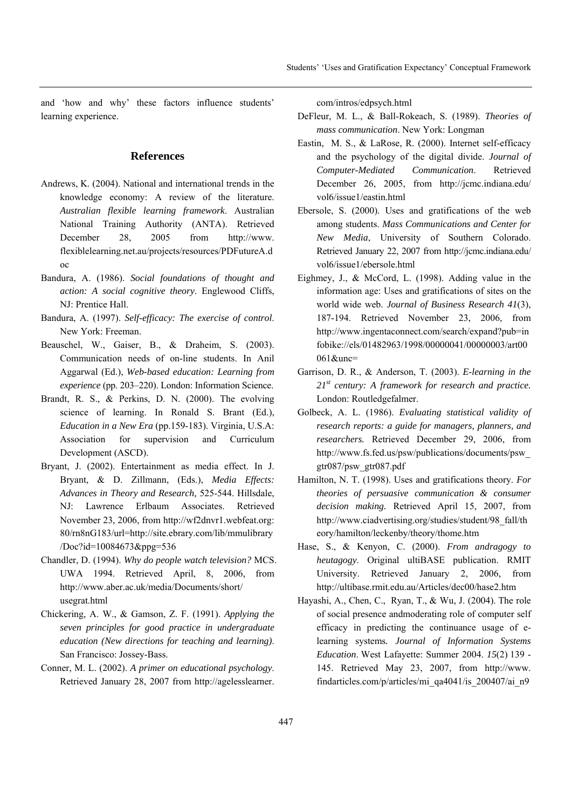and 'how and why' these factors influence students' learning experience.

## **References**

- Andrews, K. (2004). National and international trends in the knowledge economy: A review of the literature. *Australian flexible learning framework*. Australian National Training Authority (ANTA). Retrieved December 28, 2005 from http://www. flexiblelearning.net.au/projects/resources/PDFutureA.d oc
- Bandura, A. (1986). *Social foundations of thought and action: A social cognitive theory*. Englewood Cliffs, NJ: Prentice Hall.
- Bandura, A. (1997). *Self-efficacy: The exercise of control*. New York: Freeman.
- Beauschel, W., Gaiser, B., & Draheim, S. (2003). Communication needs of on-line students. In Anil Aggarwal (Ed.), *Web-based education: Learning from experience* (pp. 203–220). London: Information Science.
- Brandt, R. S., & Perkins, D. N. (2000). The evolving science of learning. In Ronald S. Brant (Ed.), *Education in a New Era* (pp.159-183). Virginia, U.S.A: Association for supervision and Curriculum Development (ASCD).
- Bryant, J. (2002). Entertainment as media effect. In J. Bryant, & D. Zillmann, (Eds.), *Media Effects: Advances in Theory and Research,* 525-544. Hillsdale, NJ: Lawrence Erlbaum Associates. Retrieved November 23, 2006, from http://wf2dnvr1.webfeat.org: 80/rn8nG183/url=http://site.ebrary.com/lib/mmulibrary /Doc?id=10084673&ppg=536
- Chandler, D. (1994). *Why do people watch television?* MCS. UWA 1994. Retrieved April, 8, 2006, from http://www.aber.ac.uk/media/Documents/short/ usegrat.html
- Chickering, A. W., & Gamson, Z. F. (1991). *Applying the seven principles for good practice in undergraduate education (New directions for teaching and learning)*. San Francisco: Jossey-Bass.
- Conner, M. L. (2002). *A primer on educational psychology*. Retrieved January 28, 2007 from http://agelesslearner.

com/intros/edpsych.html

- DeFleur, M. L., & Ball-Rokeach, S. (1989). *Theories of mass communication*. New York: Longman
- Eastin, M. S., & LaRose, R. (2000). Internet self-efficacy and the psychology of the digital divide. *Journal of Computer-Mediated Communication*. Retrieved December 26, 2005, from http://jcmc.indiana.edu/ vol6/issue1/eastin.html
- Ebersole, S. (2000). Uses and gratifications of the web among students. *Mass Communications and Center for New Media*, University of Southern Colorado. Retrieved January 22, 2007 from http://jcmc.indiana.edu/ vol6/issue1/ebersole.html
- Eighmey, J., & McCord, L. (1998). Adding value in the information age: Uses and gratifications of sites on the world wide web. *Journal of Business Research 41*(3), 187-194. Retrieved November 23, 2006, from http://www.ingentaconnect.com/search/expand?pub=in fobike://els/01482963/1998/00000041/00000003/art00 061&unc=
- Garrison, D. R., & Anderson, T. (2003). *E-learning in the 21st century: A framework for research and practice.*  London: Routledgefalmer.
- Golbeck, A. L. (1986). *Evaluating statistical validity of research reports: a guide for managers, planners, and researchers.* Retrieved December 29, 2006, from http://www.fs.fed.us/psw/publications/documents/psw\_ gtr087/psw\_gtr087.pdf
- Hamilton, N. T. (1998). Uses and gratifications theory. *For theories of persuasive communication & consumer decision making.* Retrieved April 15, 2007, from http://www.ciadvertising.org/studies/student/98\_fall/th eory/hamilton/leckenby/theory/thome.htm
- Hase, S., & Kenyon, C. (2000). *From andragogy to heutagogy*. Original ultiBASE publication. RMIT University. Retrieved January 2, 2006, from http://ultibase.rmit.edu.au/Articles/dec00/hase2.htm
- Hayashi, A., Chen, C., Ryan, T., & Wu, J. (2004). The role of social presence andmoderating role of computer self efficacy in predicting the continuance usage of elearning systems*. Journal of Information Systems Education*. West Lafayette: Summer 2004. *15*(2) 139 - 145. Retrieved May 23, 2007, from http://www. findarticles.com/p/articles/mi\_qa4041/is\_200407/ai\_n9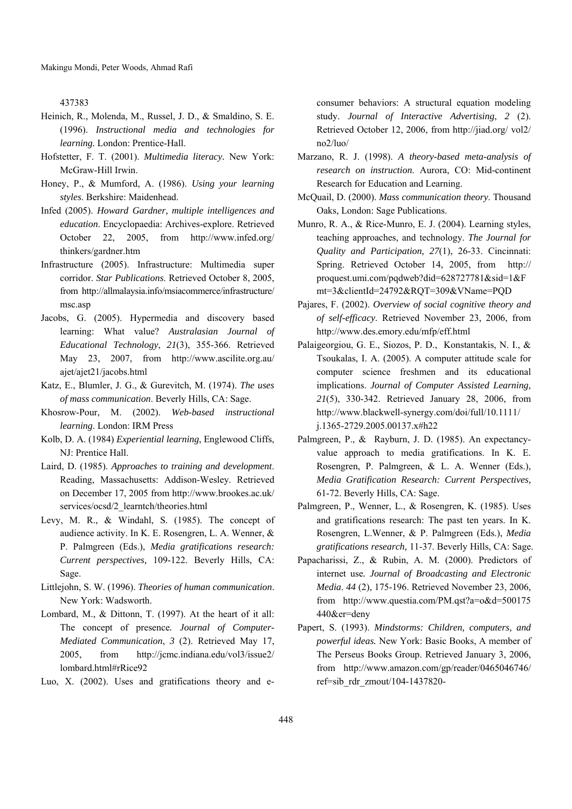437383

- Heinich, R., Molenda, M., Russel, J. D., & Smaldino, S. E. (1996). *Instructional media and technologies for learning.* London: Prentice-Hall.
- Hofstetter, F. T. (2001). *Multimedia literacy.* New York: McGraw-Hill Irwin.
- Honey, P., & Mumford, A. (1986). *Using your learning styles*. Berkshire: Maidenhead.
- Infed (2005). *Howard Gardner, multiple intelligences and education*. Encyclopaedia: Archives-explore. Retrieved October 22, 2005, from http://www.infed.org/ thinkers/gardner.htm
- Infrastructure (2005). Infrastructure: Multimedia super corridor. *Star Publications*. Retrieved October 8, 2005, from http://allmalaysia.info/msiacommerce/infrastructure/ msc.asp
- Jacobs, G. (2005). Hypermedia and discovery based learning: What value? *Australasian Journal of Educational Technology*, *21*(3), 355-366. Retrieved May 23, 2007, from http://www.ascilite.org.au/ ajet/ajet21/jacobs.html
- Katz, E., Blumler, J. G., & Gurevitch, M. (1974). *The uses of mass communication*. Beverly Hills, CA: Sage.
- Khosrow-Pour, M. (2002). *Web-based instructional learning*. London: IRM Press
- Kolb, D. A. (1984) *Experiential learning*, Englewood Cliffs, NJ: Prentice Hall.
- Laird, D. (1985). *Approaches to training and development*. Reading, Massachusetts: Addison-Wesley. Retrieved on December 17, 2005 from http://www.brookes.ac.uk/ services/ocsd/2\_learntch/theories.html
- Levy, M. R., & Windahl, S. (1985). The concept of audience activity. In K. E. Rosengren, L. A. Wenner, & P. Palmgreen (Eds.), *Media gratifications research: Current perspectives,* 109-122. Beverly Hills, CA: Sage.
- Littlejohn, S. W. (1996). *Theories of human communication*. New York: Wadsworth.
- Lombard, M., & Dittonn, T. (1997). At the heart of it all: The concept of presence*. Journal of Computer-Mediated Communication*, *3* (2). Retrieved May 17, 2005, from http://jcmc.indiana.edu/vol3/issue2/ lombard.html#rRice92

Luo, X. (2002). Uses and gratifications theory and e-

consumer behaviors: A structural equation modeling study. *Journal of Interactive Advertising*, *2* (2). Retrieved October 12, 2006, from http://jiad.org/ vol2/ no2/luo/

- Marzano, R. J. (1998). *A theory-based meta-analysis of research on instruction*. Aurora, CO: Mid-continent Research for Education and Learning.
- McQuail, D. (2000). *Mass communication theory*. Thousand Oaks, London: Sage Publications.
- Munro, R. A., & Rice-Munro, E. J. (2004). Learning styles, teaching approaches, and technology. *The Journal for Quality and Participation, 27*(1), 26-33. Cincinnati: Spring. Retrieved October 14, 2005, from http:// proquest.umi.com/pqdweb?did=628727781&sid=1&F mt=3&clientId=24792&RQT=309&VName=PQD
- Pajares, F. (2002). *Overview of social cognitive theory and of self-efficacy*. Retrieved November 23, 2006, from http://www.des.emory.edu/mfp/eff.html
- Palaigeorgiou, G. E., Siozos, P. D., Konstantakis, N. I., & Tsoukalas, I. A. (2005). A computer attitude scale for computer science freshmen and its educational implications. *Journal of Computer Assisted Learning, 21*(5), 330-342. Retrieved January 28, 2006, from http://www.blackwell-synergy.com/doi/full/10.1111/ j.1365-2729.2005.00137.x#h22
- Palmgreen, P., & Rayburn, J. D. (1985). An expectancyvalue approach to media gratifications. In K. E. Rosengren, P. Palmgreen, & L. A. Wenner (Eds.), *Media Gratification Research: Current Perspectives,*  61-72. Beverly Hills, CA: Sage.
- Palmgreen, P., Wenner, L., & Rosengren, K. (1985). Uses and gratifications research: The past ten years. In K. Rosengren, L.Wenner, & P. Palmgreen (Eds.), *Media gratifications research,* 11-37. Beverly Hills, CA: Sage.
- Papacharissi, Z., & Rubin, A. M. (2000). Predictors of internet use*. Journal of Broadcasting and Electronic Media*. *44* (2), 175-196. Retrieved November 23, 2006, from http://www.questia.com/PM.qst?a=o&d=500175 440&er=deny
- Papert, S. (1993). *Mindstorms: Children, computers, and powerful ideas.* New York: Basic Books, A member of The Perseus Books Group. Retrieved January 3, 2006, from http://www.amazon.com/gp/reader/0465046746/ ref=sib\_rdr\_zmout/104-1437820-